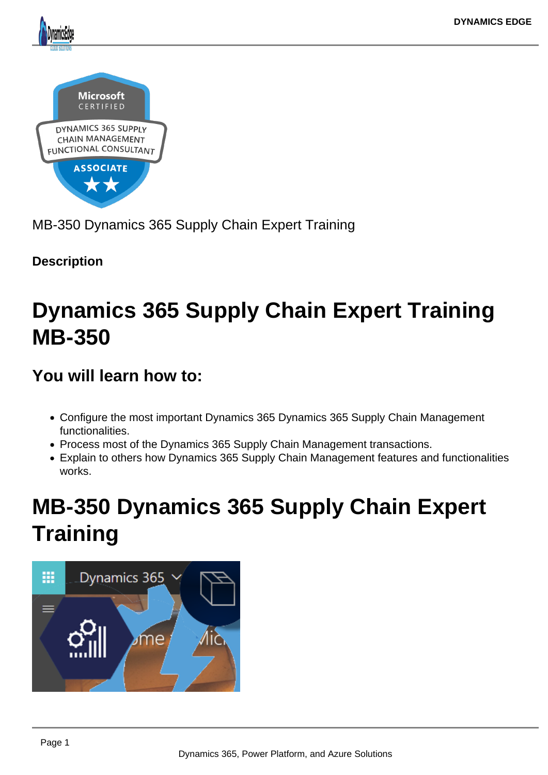

MB-350 Dynamics 365 Supply Chain Expert Training

**Description**

# **Dynamics 365 Supply Chain Expert Training MB-350**

# **You will learn how to:**

- Configure the most important Dynamics 365 Dynamics 365 Supply Chain Management functionalities.
- Process most of the Dynamics 365 Supply Chain Management transactions.
- Explain to others how Dynamics 365 Supply Chain Management features and functionalities works.

# **MB-350 Dynamics 365 Supply Chain Expert Training**

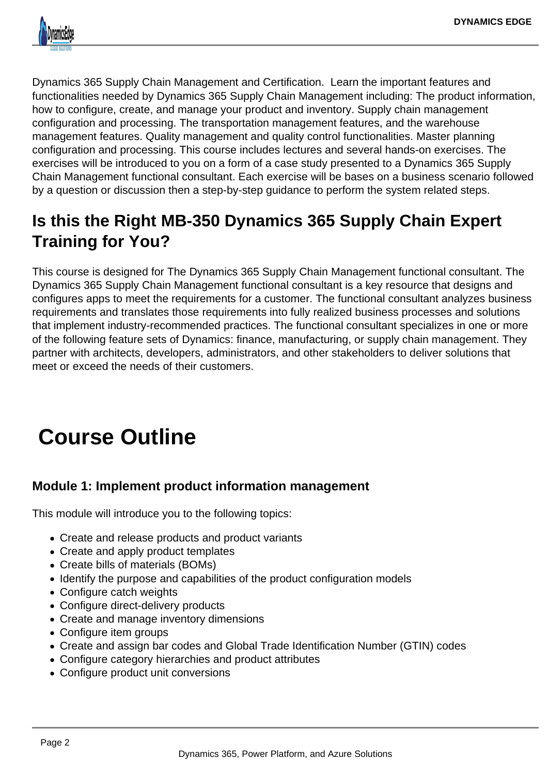

Dynamics 365 Supply Chain Management and Certification. Learn the important features and functionalities needed by Dynamics 365 Supply Chain Management including: The product information, how to configure, create, and manage your product and inventory. Supply chain management configuration and processing. The transportation management features, and the warehouse management features. Quality management and quality control functionalities. Master planning configuration and processing. This course includes lectures and several hands-on exercises. The exercises will be introduced to you on a form of a case study presented to a Dynamics 365 Supply Chain Management functional consultant. Each exercise will be bases on a business scenario followed by a question or discussion then a step-by-step guidance to perform the system related steps.

# **Is this the Right MB-350 Dynamics 365 Supply Chain Expert Training for You?**

This course is designed for The Dynamics 365 Supply Chain Management functional consultant. The Dynamics 365 Supply Chain Management functional consultant is a key resource that designs and configures apps to meet the requirements for a customer. The functional consultant analyzes business requirements and translates those requirements into fully realized business processes and solutions that implement industry-recommended practices. The functional consultant specializes in one or more of the following feature sets of Dynamics: finance, manufacturing, or supply chain management. They partner with architects, developers, administrators, and other stakeholders to deliver solutions that meet or exceed the needs of their customers.

# **Course Outline**

# **Module 1: Implement product information management**

This module will introduce you to the following topics:

- Create and release products and product variants
- Create and apply product templates
- Create bills of materials (BOMs)
- Identify the purpose and capabilities of the product configuration models
- Configure catch weights
- Configure direct-delivery products
- Create and manage inventory dimensions
- Configure item groups
- Create and assign bar codes and Global Trade Identification Number (GTIN) codes
- Configure category hierarchies and product attributes
- Configure product unit conversions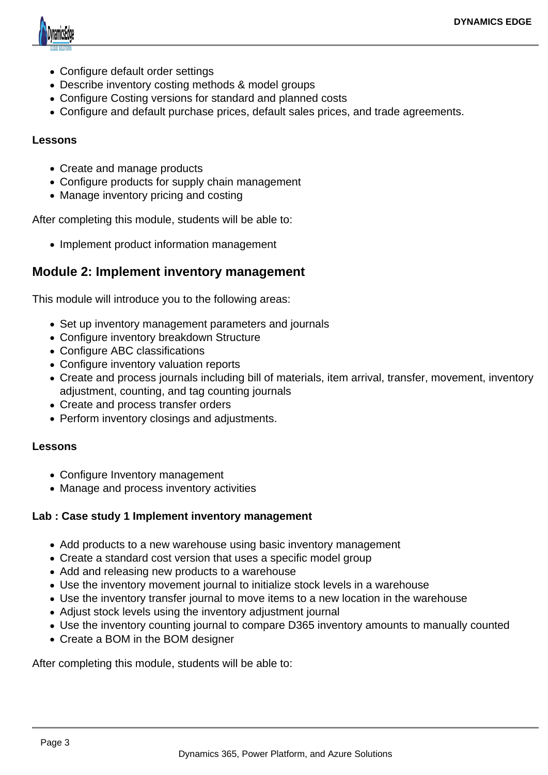

- Configure default order settings
- Describe inventory costing methods & model groups
- Configure Costing versions for standard and planned costs
- Configure and default purchase prices, default sales prices, and trade agreements.

### **Lessons**

- Create and manage products
- Configure products for supply chain management
- Manage inventory pricing and costing

After completing this module, students will be able to:

• Implement product information management

# **Module 2: Implement inventory management**

This module will introduce you to the following areas:

- Set up inventory management parameters and journals
- Configure inventory breakdown Structure
- Configure ABC classifications
- Configure inventory valuation reports
- Create and process journals including bill of materials, item arrival, transfer, movement, inventory adjustment, counting, and tag counting journals
- Create and process transfer orders
- Perform inventory closings and adjustments.

### **Lessons**

- Configure Inventory management
- Manage and process inventory activities

### **Lab : Case study 1 Implement inventory management**

- Add products to a new warehouse using basic inventory management
- Create a standard cost version that uses a specific model group
- Add and releasing new products to a warehouse
- Use the inventory movement journal to initialize stock levels in a warehouse
- Use the inventory transfer journal to move items to a new location in the warehouse
- Adjust stock levels using the inventory adjustment journal
- Use the inventory counting journal to compare D365 inventory amounts to manually counted
- Create a BOM in the BOM designer

After completing this module, students will be able to: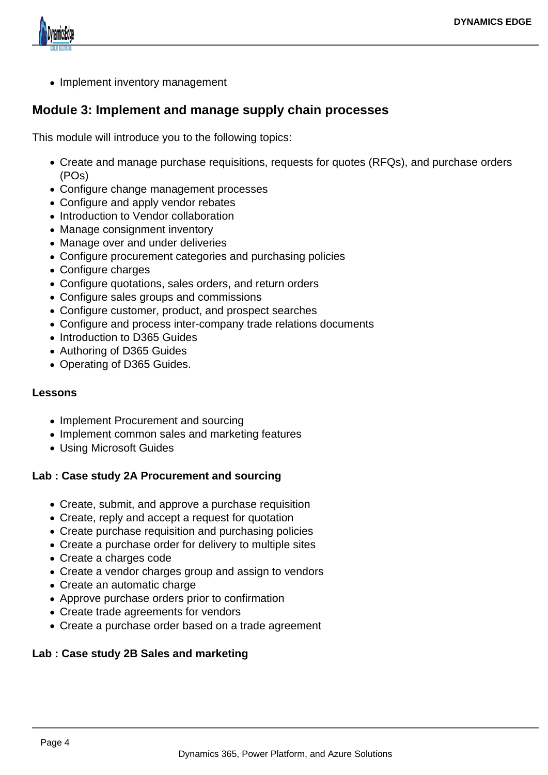

• Implement inventory management

# **Module 3: Implement and manage supply chain processes**

This module will introduce you to the following topics:

- Create and manage purchase requisitions, requests for quotes (RFQs), and purchase orders (POs)
- Configure change management processes
- Configure and apply vendor rebates
- Introduction to Vendor collaboration
- Manage consignment inventory
- Manage over and under deliveries
- Configure procurement categories and purchasing policies
- Configure charges
- Configure quotations, sales orders, and return orders
- Configure sales groups and commissions
- Configure customer, product, and prospect searches
- Configure and process inter-company trade relations documents
- Introduction to D365 Guides
- Authoring of D365 Guides
- Operating of D365 Guides.

## **Lessons**

- Implement Procurement and sourcing
- Implement common sales and marketing features
- Using Microsoft Guides

## **Lab : Case study 2A Procurement and sourcing**

- Create, submit, and approve a purchase requisition
- Create, reply and accept a request for quotation
- Create purchase requisition and purchasing policies
- Create a purchase order for delivery to multiple sites
- Create a charges code
- Create a vendor charges group and assign to vendors
- Create an automatic charge
- Approve purchase orders prior to confirmation
- Create trade agreements for vendors
- Create a purchase order based on a trade agreement

# **Lab : Case study 2B Sales and marketing**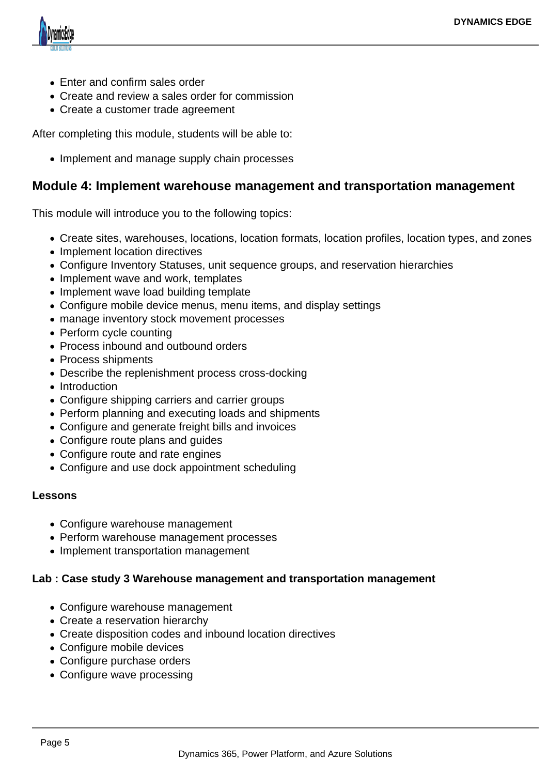

- Enter and confirm sales order
- Create and review a sales order for commission
- Create a customer trade agreement

After completing this module, students will be able to:

• Implement and manage supply chain processes

# **Module 4: Implement warehouse management and transportation management**

This module will introduce you to the following topics:

- Create sites, warehouses, locations, location formats, location profiles, location types, and zones
- Implement location directives
- Configure Inventory Statuses, unit sequence groups, and reservation hierarchies
- Implement wave and work, templates
- Implement wave load building template
- Configure mobile device menus, menu items, and display settings
- manage inventory stock movement processes
- Perform cycle counting
- Process inbound and outbound orders
- Process shipments
- Describe the replenishment process cross-docking
- Introduction
- Configure shipping carriers and carrier groups
- Perform planning and executing loads and shipments
- Configure and generate freight bills and invoices
- Configure route plans and guides
- Configure route and rate engines
- Configure and use dock appointment scheduling

#### **Lessons**

- Configure warehouse management
- Perform warehouse management processes
- Implement transportation management

#### **Lab : Case study 3 Warehouse management and transportation management**

- Configure warehouse management
- Create a reservation hierarchy
- Create disposition codes and inbound location directives
- Configure mobile devices
- Configure purchase orders
- Configure wave processing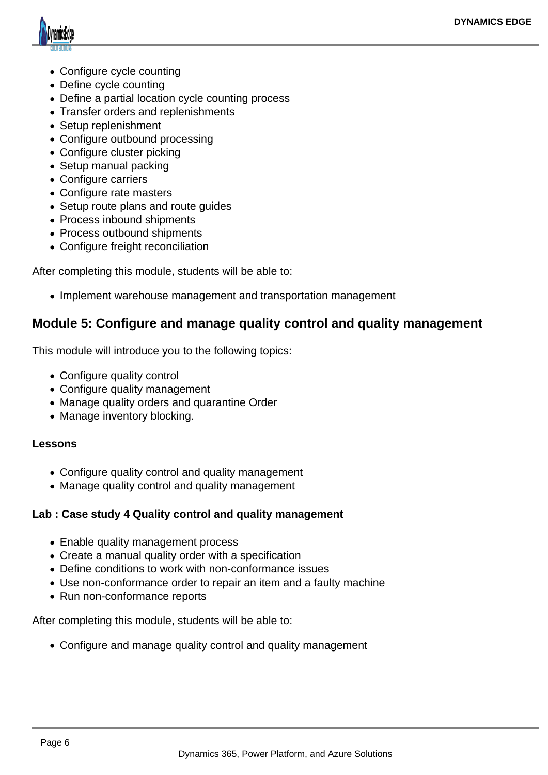

- Configure cycle counting
- Define cycle counting
- Define a partial location cycle counting process
- Transfer orders and replenishments
- Setup replenishment
- Configure outbound processing
- Configure cluster picking
- Setup manual packing
- Configure carriers
- Configure rate masters
- Setup route plans and route quides
- Process inbound shipments
- Process outbound shipments
- Configure freight reconciliation

After completing this module, students will be able to:

• Implement warehouse management and transportation management

# **Module 5: Configure and manage quality control and quality management**

This module will introduce you to the following topics:

- Configure quality control
- Configure quality management
- Manage quality orders and quarantine Order
- Manage inventory blocking.

### **Lessons**

- Configure quality control and quality management
- Manage quality control and quality management

### **Lab : Case study 4 Quality control and quality management**

- Enable quality management process
- Create a manual quality order with a specification
- Define conditions to work with non-conformance issues
- Use non-conformance order to repair an item and a faulty machine
- Run non-conformance reports

After completing this module, students will be able to:

Configure and manage quality control and quality management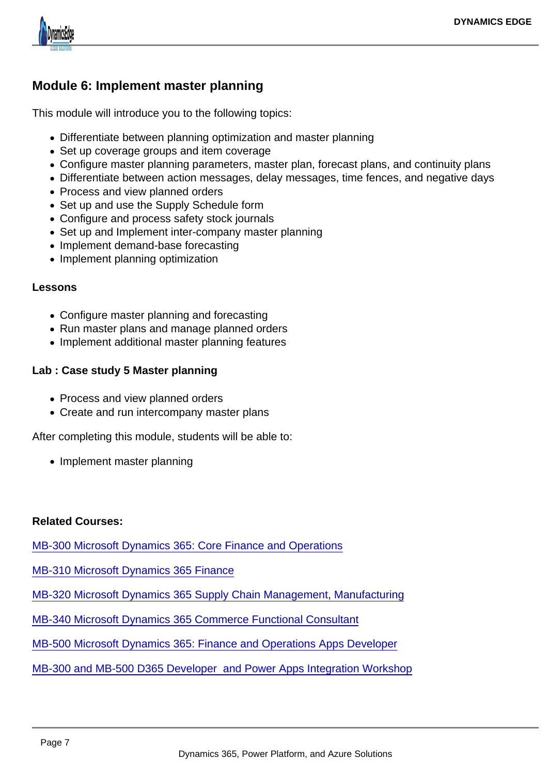# Module 6: Implement master planning

This module will introduce you to the following topics:

- Differentiate between planning optimization and master planning
- Set up coverage groups and item coverage
- Configure master planning parameters, master plan, forecast plans, and continuity plans
- Differentiate between action messages, delay messages, time fences, and negative days
- Process and view planned orders
- Set up and use the Supply Schedule form
- Configure and process safety stock journals
- Set up and Implement inter-company master planning
- Implement demand-base forecasting
- Implement planning optimization

### Lessons

- Configure master planning and forecasting
- Run master plans and manage planned orders
- Implement additional master planning features

Lab : Case study 5 Master planning

- Process and view planned orders
- Create and run intercompany master plans

After completing this module, students will be able to:

• Implement master planning

### Related Courses:

[MB-300 Microsoft Dynamics 365: Core Finance and Operations](https://www.dynamicsedge.com/product/dynamics-365-finance-supply-chain-and-manufacturing-operations-development-core-technologies-erpmb-300/)

[MB-310 Microsoft Dynamics 365 Finance](https://www.dynamicsedge.com/product/dynamics-365-erp-finance-modules-and-accounting-for-controllers-cfo-finance-mb-310/)

[MB-320 Microsoft Dynamics 365 Supply Chain Management, Manufacturing](https://www.dynamicsedge.com/product/dynamics-365-erp-manufacturing-discrete-process-and-lean-and-supply-chain-mb-320/)

[MB-340 Microsoft Dynamics 365 Commerce Functional Consultant](https://www.dynamicsedge.com/product/microsoft-dynamics-365-commerce-functional-consultant-mb-340/)

[MB-500 Microsoft Dynamics 365: Finance and Operations Apps Developer](https://www.dynamicsedge.com/product/mb-500-dynamics-365-erp-finance-operations-developer-x-apps-developer/)

### [MB-300 and MB-500 D365 Developer and Power Apps Integration Workshop](https://www.dynamicsedge.com/product/mb-300-d365-developer-mb-500-power-apps-integration-workshop/)